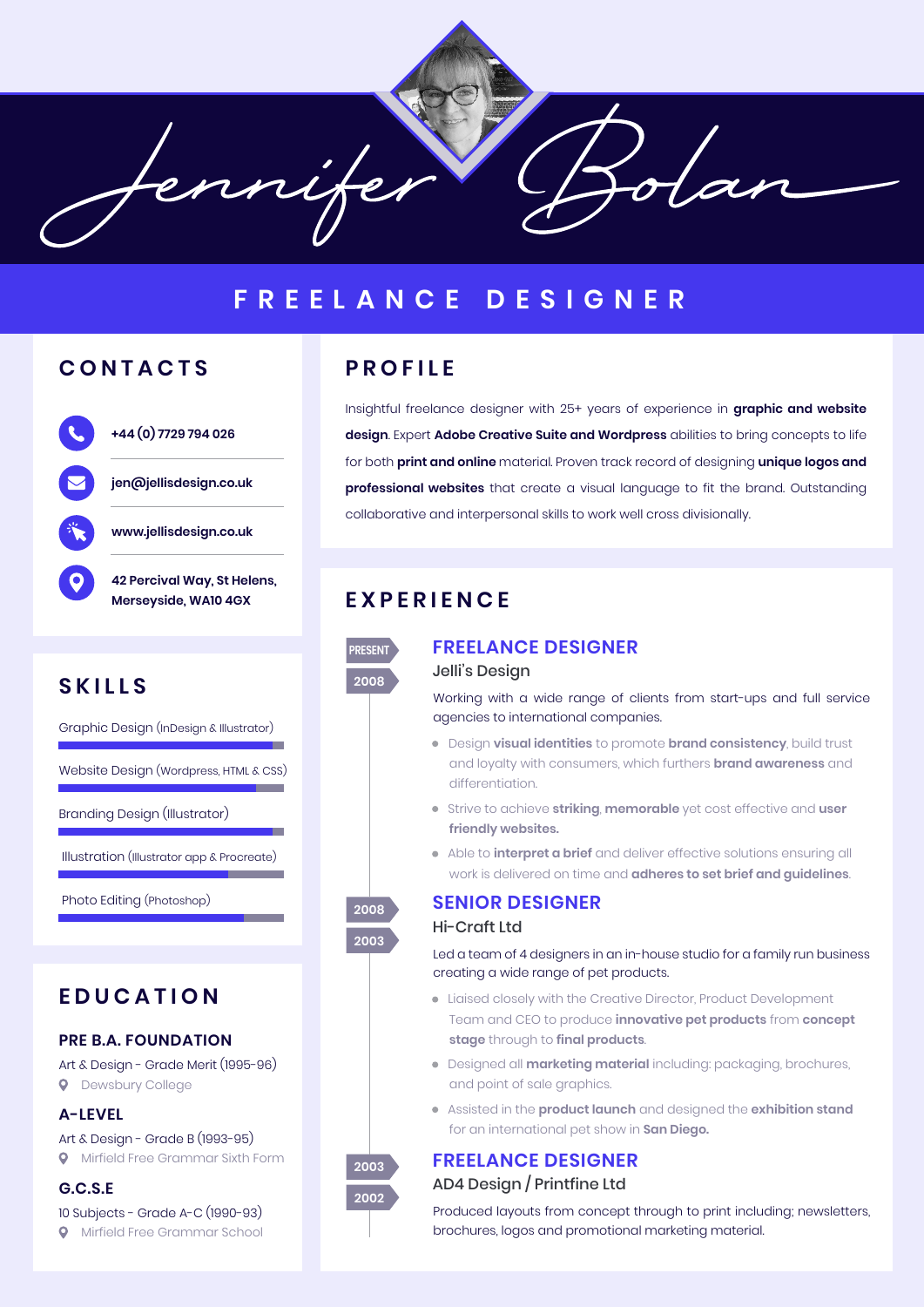fennife

# **FREELANCE DESIGNER**

## **CONTACTS**



# **SKILLS**

Graphic Design (InDesign & Illustrator)

Website Design (Wordpress, HTML & CSS)

Branding Design (Illustrator)

Illustration (Illustrator app & Procreate)

Photo Editing (Photoshop)

# **EDUCATION**

### **PRE B.A. FOUNDATION**

Art & Design - Grade Merit (1995-96) **Q** Dewsbury College

#### **A-LEVEL**

Art & Design - Grade B (1993-95) **Q** Mirfield Free Grammar Sixth Form

### **G.C.S.E**

10 Subjects - Grade A-C (1990-93) **Q** Mirfield Free Grammar School

## **PROFILE**

Insightful freelance designer with 25+ years of experience in **graphic and website design**. Expert **Adobe Creative Suite and Wordpress** abilities to bring concepts to life for both **print and online** material. Proven track record of designing **unique logos and professional websites** that create a visual language to fit the brand. Outstanding collaborative and interpersonal skills to work well cross divisionally.

# **EXPERIENCE**



**2008 2003**

## **FREELANCE DESIGNER**

### Jelli's Design

Working with a wide range of clients from start-ups and full service agencies to international companies.

- Design **visual identities** to promote **brand consistency**, build trust and loyalty with consumers, which furthers **brand awareness** and differentiation.
- Strive to achieve **striking**, **memorable** yet cost effective and **user friendly websites.**
- Able to **interpret a brief** and deliver effective solutions ensuring all work is delivered on time and **adheres to set brief and guidelines**.

# **SENIOR DESIGNER**

## Hi-Craft Ltd

Led a team of 4 designers in an in-house studio for a family run business creating a wide range of pet products.

- Liaised closely with the Creative Director, Product Development Team and CEO to produce **innovative pet products** from **concept stage** through to **final products**.
- Designed all **marketing material** including: packaging, brochures, and point of sale graphics.
- Assisted in the **product launch** and designed the **exhibition stand** for an international pet show in **San Diego.**

### **FREELANCE DESIGNER** AD4 Design / Printfine Ltd

Produced layouts from concept through to print including; newsletters, brochures, logos and promotional marketing material.

**2003 2002**